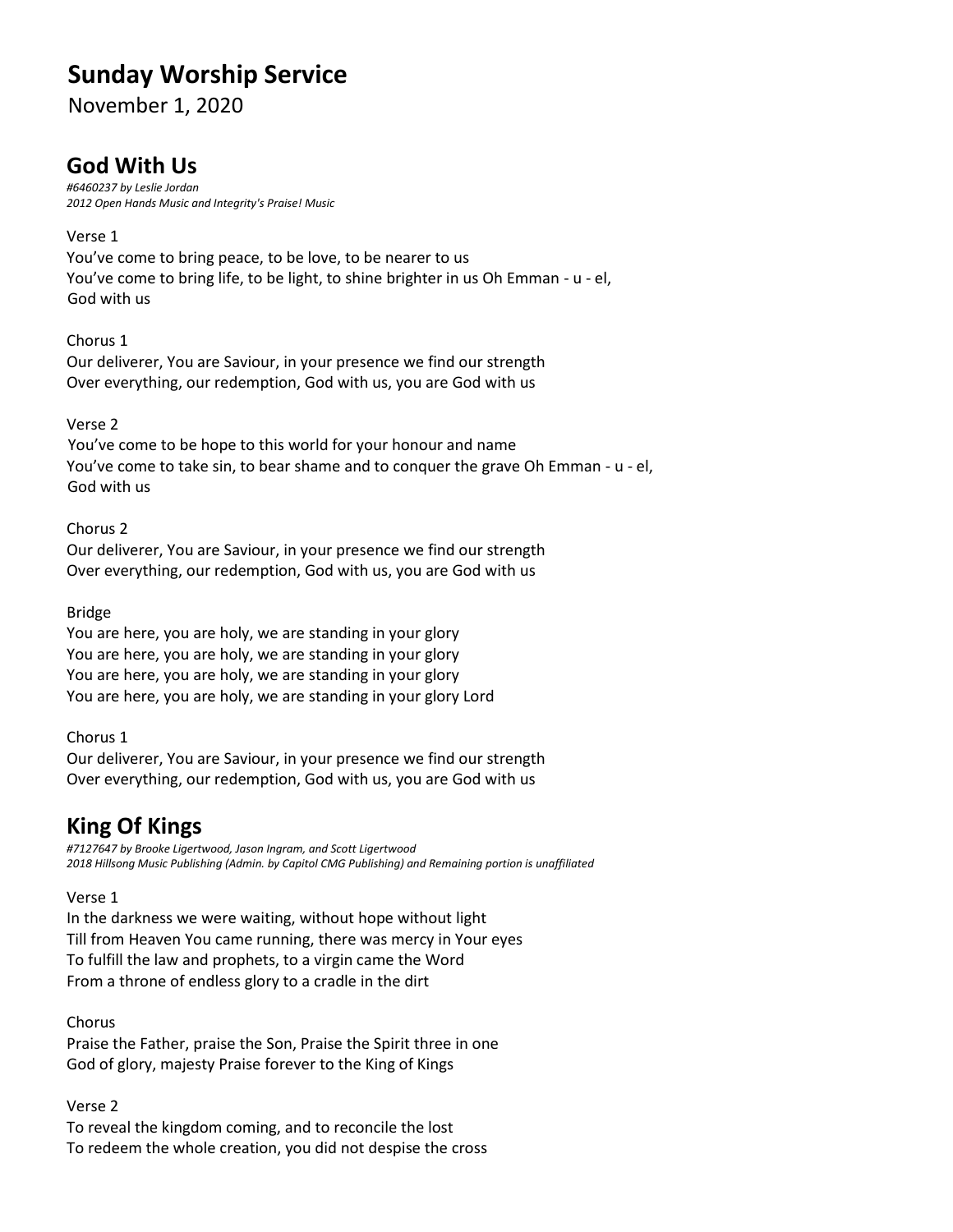# **Sunday Worship Service**

November 1, 2020

# **God With Us**

*#6460237 by Leslie Jordan 2012 Open Hands Music and Integrity's Praise! Music*

Verse 1

You've come to bring peace, to be love, to be nearer to us You've come to bring life, to be light, to shine brighter in us Oh Emman - u - el, God with us

Chorus 1

Our deliverer, You are Saviour, in your presence we find our strength Over everything, our redemption, God with us, you are God with us

# Verse 2

You've come to be hope to this world for your honour and name You've come to take sin, to bear shame and to conquer the grave Oh Emman - u - el, God with us

### Chorus 2

Our deliverer, You are Saviour, in your presence we find our strength Over everything, our redemption, God with us, you are God with us

#### Bridge

You are here, you are holy, we are standing in your glory You are here, you are holy, we are standing in your glory You are here, you are holy, we are standing in your glory You are here, you are holy, we are standing in your glory Lord

Chorus 1

Our deliverer, You are Saviour, in your presence we find our strength Over everything, our redemption, God with us, you are God with us

# **King Of Kings**

*#7127647 by Brooke Ligertwood, Jason Ingram, and Scott Ligertwood 2018 Hillsong Music Publishing (Admin. by Capitol CMG Publishing) and Remaining portion is unaffiliated*

# Verse 1

In the darkness we were waiting, without hope without light Till from Heaven You came running, there was mercy in Your eyes To fulfill the law and prophets, to a virgin came the Word From a throne of endless glory to a cradle in the dirt

# Chorus

Praise the Father, praise the Son, Praise the Spirit three in one God of glory, majesty Praise forever to the King of Kings

#### Verse 2

To reveal the kingdom coming, and to reconcile the lost To redeem the whole creation, you did not despise the cross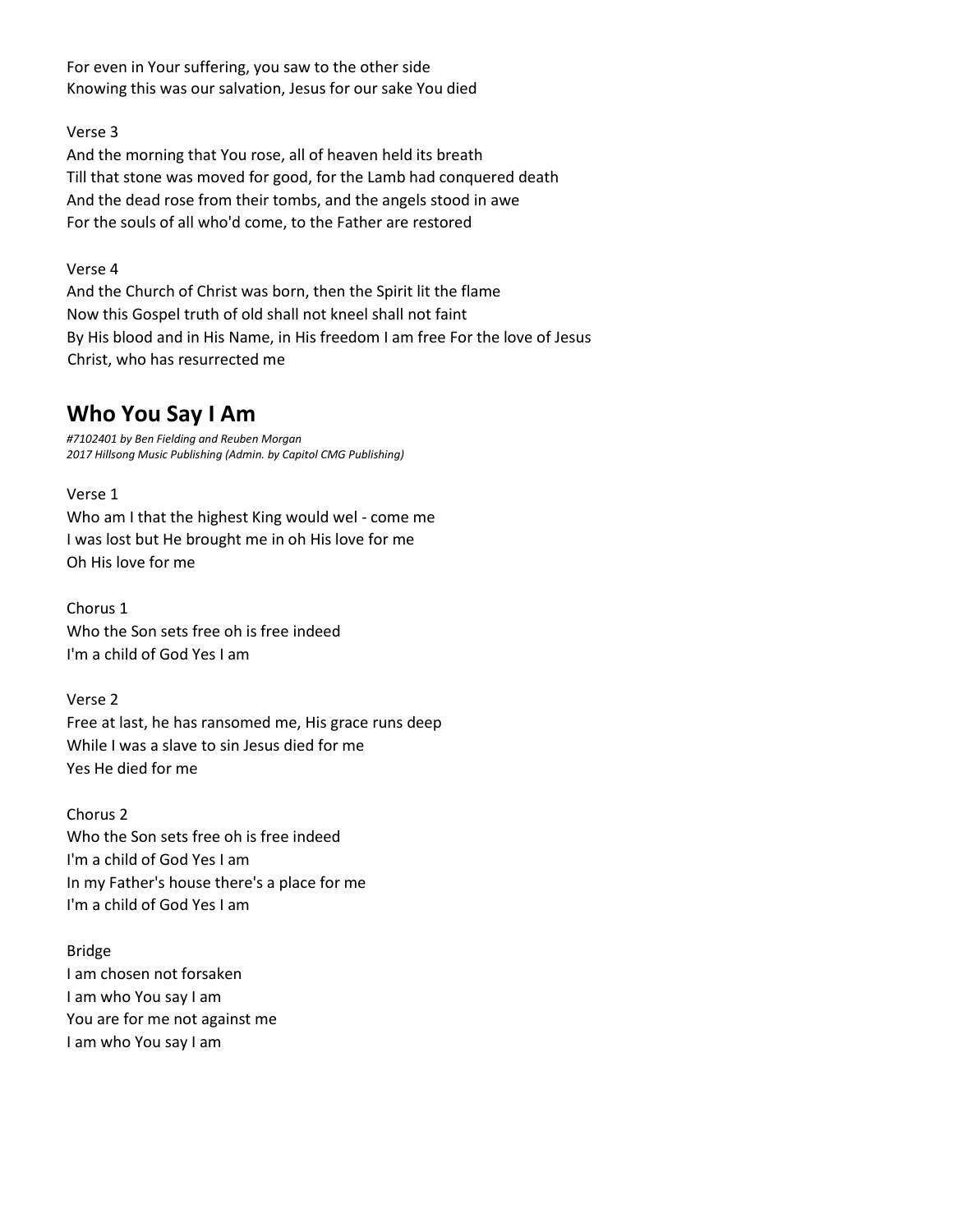For even in Your suffering, you saw to the other side Knowing this was our salvation, Jesus for our sake You died

### Verse 3

And the morning that You rose, all of heaven held its breath Till that stone was moved for good, for the Lamb had conquered death And the dead rose from their tombs, and the angels stood in awe For the souls of all who'd come, to the Father are restored

### Verse 4

And the Church of Christ was born, then the Spirit lit the flame Now this Gospel truth of old shall not kneel shall not faint By His blood and in His Name, in His freedom I am free For the love of Jesus Christ, who has resurrected me

# **Who You Say I Am**

*#7102401 by Ben Fielding and Reuben Morgan 2017 Hillsong Music Publishing (Admin. by Capitol CMG Publishing)*

#### Verse 1

Who am I that the highest King would wel - come me I was lost but He brought me in oh His love for me Oh His love for me

Chorus 1 Who the Son sets free oh is free indeed I'm a child of God Yes I am

#### Verse 2

Free at last, he has ransomed me, His grace runs deep While I was a slave to sin Jesus died for me Yes He died for me

Chorus 2 Who the Son sets free oh is free indeed I'm a child of God Yes I am In my Father's house there's a place for me I'm a child of God Yes I am

Bridge I am chosen not forsaken I am who You say I am You are for me not against me I am who You say I am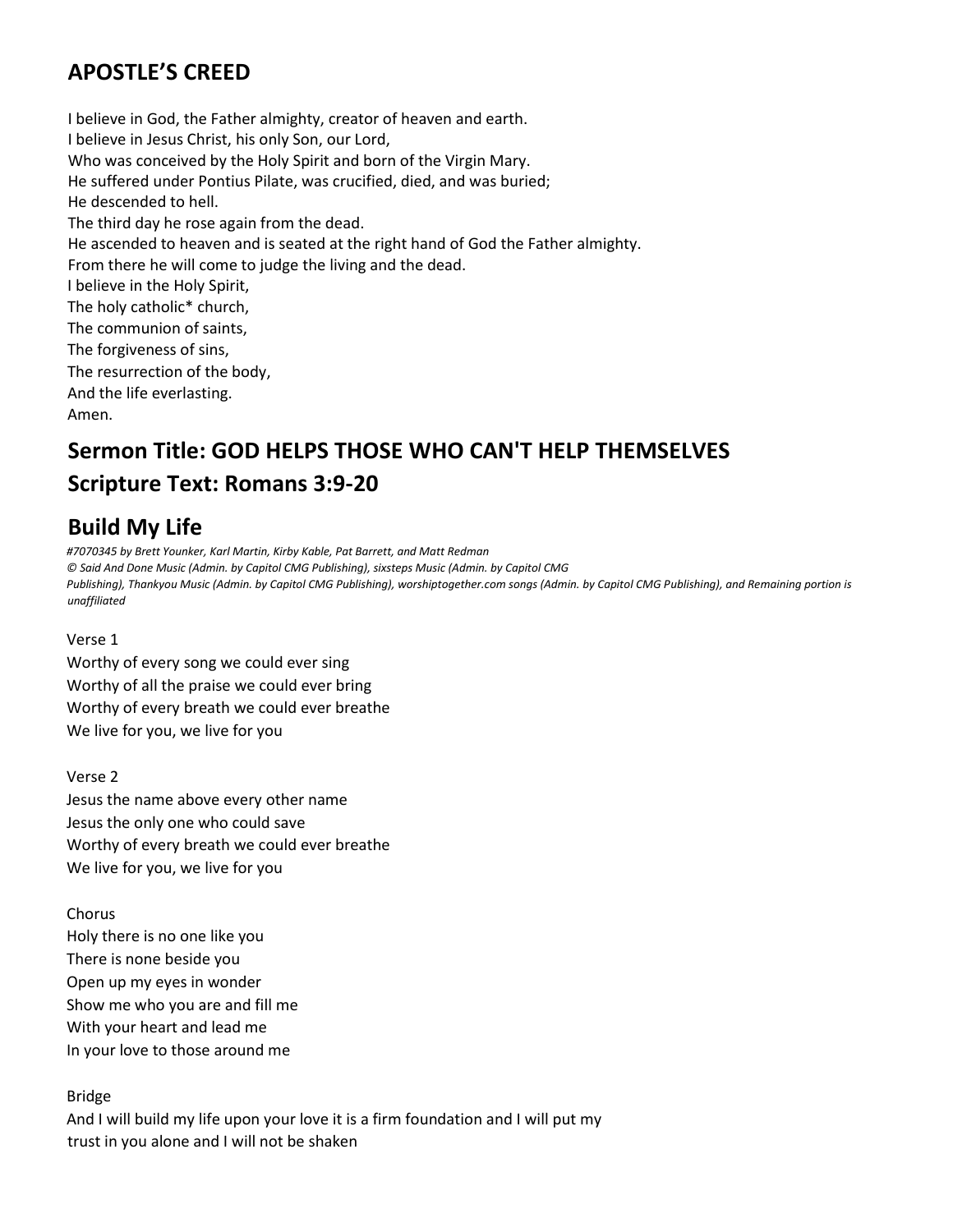# **APOSTLE'S CREED**

I believe in God, the Father almighty, creator of heaven and earth. I believe in Jesus Christ, his only Son, our Lord, Who was conceived by the Holy Spirit and born of the Virgin Mary. He suffered under Pontius Pilate, was crucified, died, and was buried; He descended to hell. The third day he rose again from the dead. He ascended to heaven and is seated at the right hand of God the Father almighty. From there he will come to judge the living and the dead. I believe in the Holy Spirit, The holy catholic\* church, The communion of saints, The forgiveness of sins, The resurrection of the body, And the life everlasting. Amen.

# **Sermon Title: GOD HELPS THOSE WHO CAN'T HELP THEMSELVES Scripture Text: Romans 3:9-20**

# **Build My Life**

*#7070345 by Brett Younker, Karl Martin, Kirby Kable, Pat Barrett, and Matt Redman © Said And Done Music (Admin. by Capitol CMG Publishing), sixsteps Music (Admin. by Capitol CMG Publishing), Thankyou Music (Admin. by Capitol CMG Publishing), worshiptogether.com songs (Admin. by Capitol CMG Publishing), and Remaining portion is unaffiliated*

# Verse 1

Worthy of every song we could ever sing Worthy of all the praise we could ever bring Worthy of every breath we could ever breathe We live for you, we live for you

Verse 2 Jesus the name above every other name Jesus the only one who could save Worthy of every breath we could ever breathe We live for you, we live for you

Chorus Holy there is no one like you There is none beside you Open up my eyes in wonder Show me who you are and fill me With your heart and lead me In your love to those around me

# Bridge

And I will build my life upon your love it is a firm foundation and I will put my trust in you alone and I will not be shaken